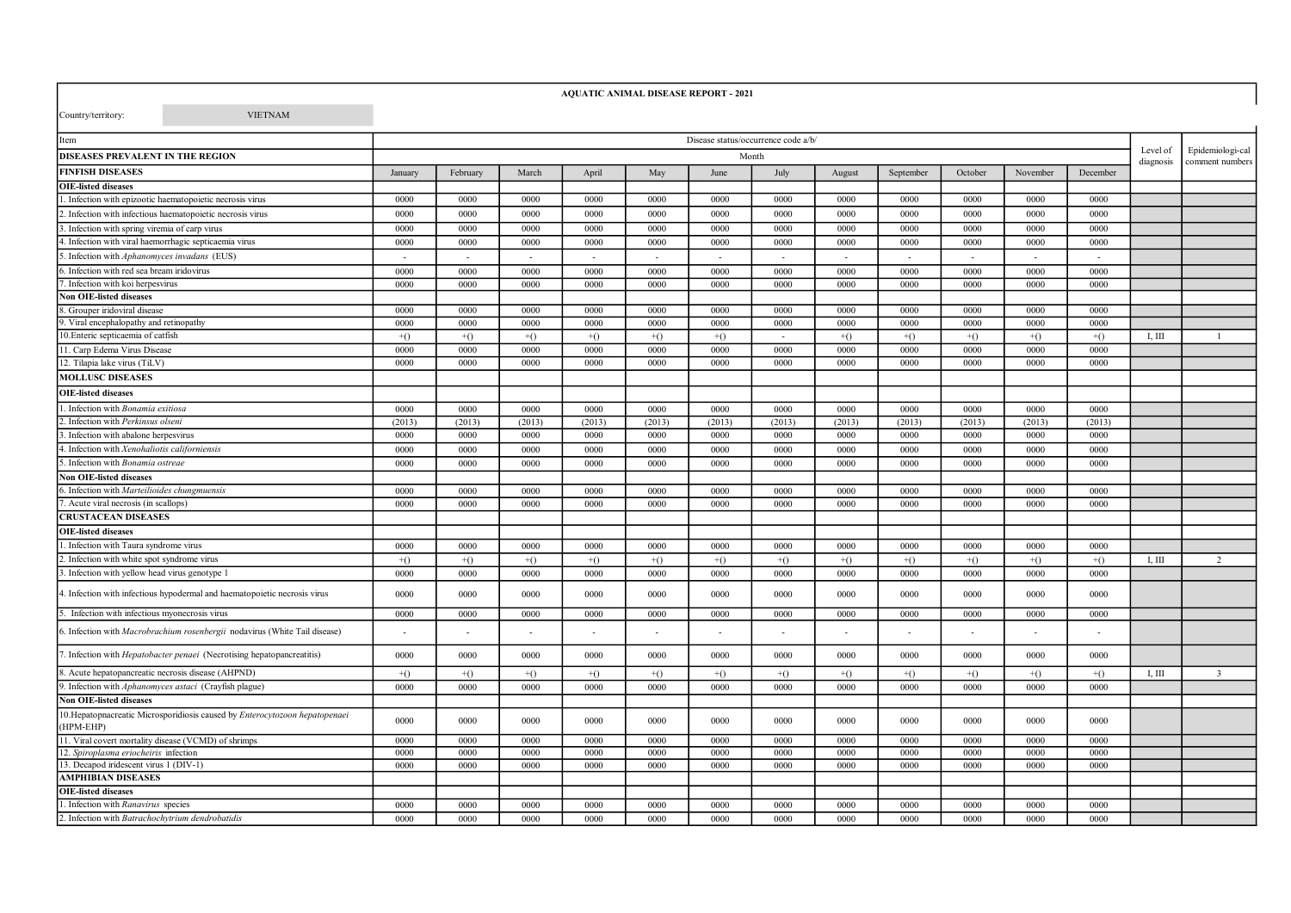## AQUATIC ANIMAL DISEASE REPORT - 2021

Country/territory: VIETNAM

| tem                                                                                     | Disease status/occurrence code a/b/ |          |        |        |                |                          |                |        |                          |                       |                          |                          |        |                         |
|-----------------------------------------------------------------------------------------|-------------------------------------|----------|--------|--------|----------------|--------------------------|----------------|--------|--------------------------|-----------------------|--------------------------|--------------------------|--------|-------------------------|
| DISEASES PREVALENT IN THE REGION                                                        | Month                               |          |        |        |                |                          |                |        |                          | Level of<br>diagnosis | Epidemiologi-cal         |                          |        |                         |
| <b>FINFISH DISEASES</b>                                                                 | January                             | February | March  | April  | May            | June                     | July           | August | September                | October               | November                 | December                 |        | comment numbers         |
| <b>OIE-listed diseases</b>                                                              |                                     |          |        |        |                |                          |                |        |                          |                       |                          |                          |        |                         |
| Infection with epizootic haematopoietic necrosis virus                                  | 0000                                | 0000     | 0000   | 0000   | 0000           | 0000                     | 0000           | 0000   | 0000                     | 0000                  | 0000                     | 0000                     |        |                         |
| . Infection with infectious haematopoietic necrosis virus                               | 0000                                | 0000     | 0000   | 0000   | 0000           | 0000                     | 0000           | 0000   | 0000                     | 0000                  | 0000                     | 0000                     |        |                         |
| 3. Infection with spring viremia of carp virus                                          | 0000                                | 0000     | 0000   | 0000   | 0000           | 0000                     | 0000           | 0000   | 0000                     | 0000                  | 0000                     | 0000                     |        |                         |
| . Infection with viral haemorrhagic septicaemia virus                                   | 0000                                | 0000     | 0000   | 0000   | 0000           | 0000                     | 0000           | 0000   | 0000                     | 0000                  | 0000                     | 0000                     |        |                         |
| 5. Infection with Aphanomyces invadans (EUS)                                            |                                     |          |        |        | $\overline{a}$ | $\overline{\phantom{a}}$ | $\overline{a}$ | $\sim$ | $\overline{\phantom{0}}$ | $\overline{a}$        | $\overline{\phantom{a}}$ | $\overline{\phantom{a}}$ |        |                         |
| . Infection with red sea bream iridovirus                                               | 0000                                | 0000     | 0000   | 0000   | 0000           | 0000                     | 0000           | 0000   | 0000                     | 0000                  | 0000                     | 0000                     |        |                         |
| . Infection with koi herpesvirus                                                        | 0000                                | 0000     | 0000   | 0000   | 0000           | 0000                     | 0000           | 0000   | 0000                     | 0000                  | 0000                     | 0000                     |        |                         |
| <b>Non OIE-listed diseases</b>                                                          |                                     |          |        |        |                |                          |                |        |                          |                       |                          |                          |        |                         |
| . Grouper iridoviral disease                                                            | 0000                                | 0000     | 0000   | 0000   | 0000           | 0000                     | 0000           | 0000   | 0000                     | 0000                  | 0000                     | 0000                     |        |                         |
| 9. Viral encephalopathy and retinopathy                                                 | 0000                                | 0000     | 0000   | 0000   | 0000           | 0000                     | 0000           | 0000   | 0000                     | 0000                  | 0000                     | 0000                     |        |                         |
| 10. Enteric septicaemia of catfish                                                      | $+()$                               | $+()$    | $+()$  | $+()$  | $+()$          | $+()$                    | $\sim$         | $+()$  | $+()$                    | $+()$                 | $+()$                    | $+()$                    | I, III |                         |
| 11. Carp Edema Virus Disease                                                            | 0000                                | 0000     | 0000   | 0000   | 0000           | 0000                     | 0000           | 0000   | 0000                     | 0000                  | 0000                     | 0000                     |        |                         |
| 12. Tilapia lake virus (TiLV)                                                           | 0000                                | 0000     | 0000   | 0000   | 0000           | 0000                     | 0000           | 0000   | 0000                     | 0000                  | 0000                     | 0000                     |        |                         |
| <b>MOLLUSC DISEASES</b>                                                                 |                                     |          |        |        |                |                          |                |        |                          |                       |                          |                          |        |                         |
| <b>OIE-listed diseases</b>                                                              |                                     |          |        |        |                |                          |                |        |                          |                       |                          |                          |        |                         |
| Infection with Bonamia exitiosa                                                         | 0000                                | 0000     | 0000   | 0000   | 0000           | 0000                     | 0000           | 0000   | 0000                     | 0000                  | 0000                     | 0000                     |        |                         |
| Infection with Perkinsus olseni                                                         | (2013)                              | (2013)   | (2013) | (2013) | (2013)         | (2013)                   | (2013)         | (2013) | (2013)                   | (2013)                | (2013)                   | (2013)                   |        |                         |
| . Infection with abalone herpesvirus                                                    | 0000                                | 0000     | 0000   | 0000   | 0000           | 0000                     | 0000           | 0000   | 0000                     | 0000                  | 0000                     | 0000                     |        |                         |
| 4. Infection with Xenohaliotis californiensis                                           | 0000                                | 0000     | 0000   | 0000   | 0000           | 0000                     | 0000           | 0000   | 0000                     | 0000                  | 0000                     | 0000                     |        |                         |
| 5. Infection with Bonamia ostreae                                                       | 0000                                | 0000     | 0000   | 0000   | 0000           | 0000                     | 0000           | 0000   | 0000                     | 0000                  | 0000                     | 0000                     |        |                         |
| <b>Non OIE-listed diseases</b>                                                          |                                     |          |        |        |                |                          |                |        |                          |                       |                          |                          |        |                         |
| 6. Infection with Marteilioides chungmuensis                                            | 0000                                | 0000     | 0000   | 0000   | 0000           | 0000                     | 0000           | 0000   | 0000                     | 0000                  | 0000                     | 0000                     |        |                         |
| Acute viral necrosis (in scallops)                                                      | 0000                                | 0000     | 0000   | 0000   | 0000           | 0000                     | 0000           | 0000   | 0000                     | 0000                  | 0000                     | 0000                     |        |                         |
| <b>CRUSTACEAN DISEASES</b>                                                              |                                     |          |        |        |                |                          |                |        |                          |                       |                          |                          |        |                         |
| <b>OIE-listed diseases</b>                                                              |                                     |          |        |        |                |                          |                |        |                          |                       |                          |                          |        |                         |
| Infection with Taura syndrome virus                                                     | 0000                                | 0000     | 0000   | 0000   | 0000           | 0000                     | 0000           | 0000   | 0000                     | 0000                  | 0000                     | 0000                     |        |                         |
| Infection with white spot syndrome virus                                                | $+()$                               | $+()$    | $+()$  | $+()$  | $+()$          | $+()$                    | $+()$          | $+()$  | $+()$                    | $+()$                 | $+()$                    | $+()$                    | I, III | 2                       |
| . Infection with yellow head virus genotype 1                                           | 0000                                | 0000     | 0000   | 0000   | 0000           | 0000                     | 0000           | 0000   | 0000                     | 0000                  | 0000                     | 0000                     |        |                         |
| 4. Infection with infectious hypodermal and haematopoietic necrosis virus               | 0000                                | 0000     | 0000   | 0000   | 0000           | 0000                     | 0000           | 0000   | 0000                     | 0000                  | 0000                     | 0000                     |        |                         |
| 5. Infection with infectious myonecrosis virus                                          | 0000                                | 0000     | 0000   | 0000   | 0000           | 0000                     | 0000           | 0000   | 0000                     | 0000                  | 0000                     | 0000                     |        |                         |
| 6. Infection with Macrobrachium rosenbergii nodavirus (White Tail disease)              |                                     |          |        |        |                |                          |                |        |                          |                       |                          |                          |        |                         |
| 7. Infection with <i>Hepatobacter penaei</i> (Necrotising hepatopancreatitis)           | 0000                                | 0000     | 0000   | 0000   | 0000           | 0000                     | 0000           | 0000   | 0000                     | 0000                  | 0000                     | 0000                     |        |                         |
| 8. Acute hepatopancreatic necrosis disease (AHPND)                                      | $+()$                               | $+()$    | $+()$  | $+()$  | $+()$          | $+()$                    | $+()$          | $+()$  | $+()$                    | $+()$                 | $+()$                    | $+()$                    | I, III | $\overline{\mathbf{3}}$ |
| . Infection with Aphanomyces astaci (Crayfish plague)                                   | 0000                                | 0000     | 0000   | 0000   | 0000           | 0000                     | 0000           | 0000   | 0000                     | 0000                  | 0000                     | 0000                     |        |                         |
| <b>Non OIE-listed diseases</b>                                                          |                                     |          |        |        |                |                          |                |        |                          |                       |                          |                          |        |                         |
| 10. Hepatopnacreatic Microsporidiosis caused by Enterocytozoon hepatopenaei<br>HPM-EHP) | 0000                                | 0000     | 0000   | 0000   | 0000           | 0000                     | 0000           | 0000   | 0000                     | 0000                  | 0000                     | 0000                     |        |                         |
| 11. Viral covert mortality disease (VCMD) of shrimps                                    | 0000                                | 0000     | 0000   | 0000   | 0000           | 0000                     | 0000           | 0000   | 0000                     | 0000                  | 0000                     | 0000                     |        |                         |
| 12. Spiroplasma eriocheiris infection                                                   | 0000                                | 0000     | 0000   | 0000   | 0000           | 0000                     | 0000           | 0000   | 0000                     | 0000                  | 0000                     | 0000                     |        |                         |
| 13. Decapod iridescent virus 1 (DIV-1)                                                  | 0000                                | 0000     | 0000   | 0000   | 0000           | 0000                     | 0000           | 0000   | 0000                     | 0000                  | 0000                     | 0000                     |        |                         |
| <b>AMPHIBIAN DISEASES</b>                                                               |                                     |          |        |        |                |                          |                |        |                          |                       |                          |                          |        |                         |
| <b>OIE-listed diseases</b>                                                              |                                     |          |        |        |                |                          |                |        |                          |                       |                          |                          |        |                         |
| . Infection with Ranavirus species                                                      | 0000                                | 0000     | 0000   | 0000   | 0000           | 0000                     | 0000           | 0000   | 0000                     | 0000                  | 0000                     | 0000                     |        |                         |
| . Infection with Batrachochytrium dendrobatidis                                         | 0000                                | 0000     | 0000   | 0000   | 0000           | 0000                     | 0000           | 0000   | 0000                     | 0000                  | 0000                     | 0000                     |        |                         |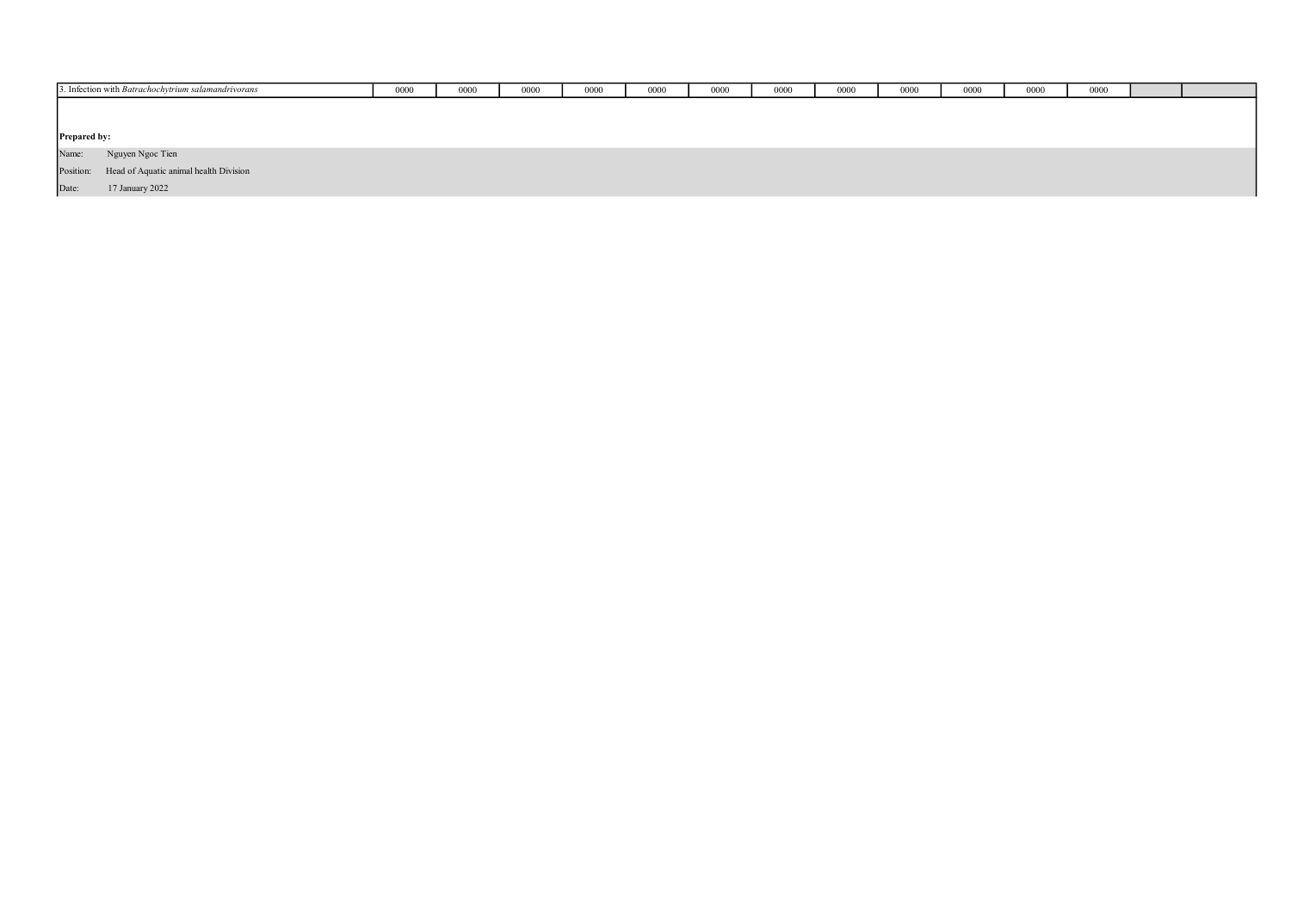|              | 3. Infection with Batrachochytrium salamandrivorans | 0000 | 0000 | 0000 | 0000 | 0000 | 0000 | 0000 | 0000 | 0000 | 0000 | 0000 | 0000 |  |
|--------------|-----------------------------------------------------|------|------|------|------|------|------|------|------|------|------|------|------|--|
|              |                                                     |      |      |      |      |      |      |      |      |      |      |      |      |  |
|              |                                                     |      |      |      |      |      |      |      |      |      |      |      |      |  |
| Prepared by: |                                                     |      |      |      |      |      |      |      |      |      |      |      |      |  |
| Name:        | Nguyen Ngoc Tien                                    |      |      |      |      |      |      |      |      |      |      |      |      |  |
|              | Position: Head of Aquatic animal health Division    |      |      |      |      |      |      |      |      |      |      |      |      |  |
| Date:        | 17 January 2022                                     |      |      |      |      |      |      |      |      |      |      |      |      |  |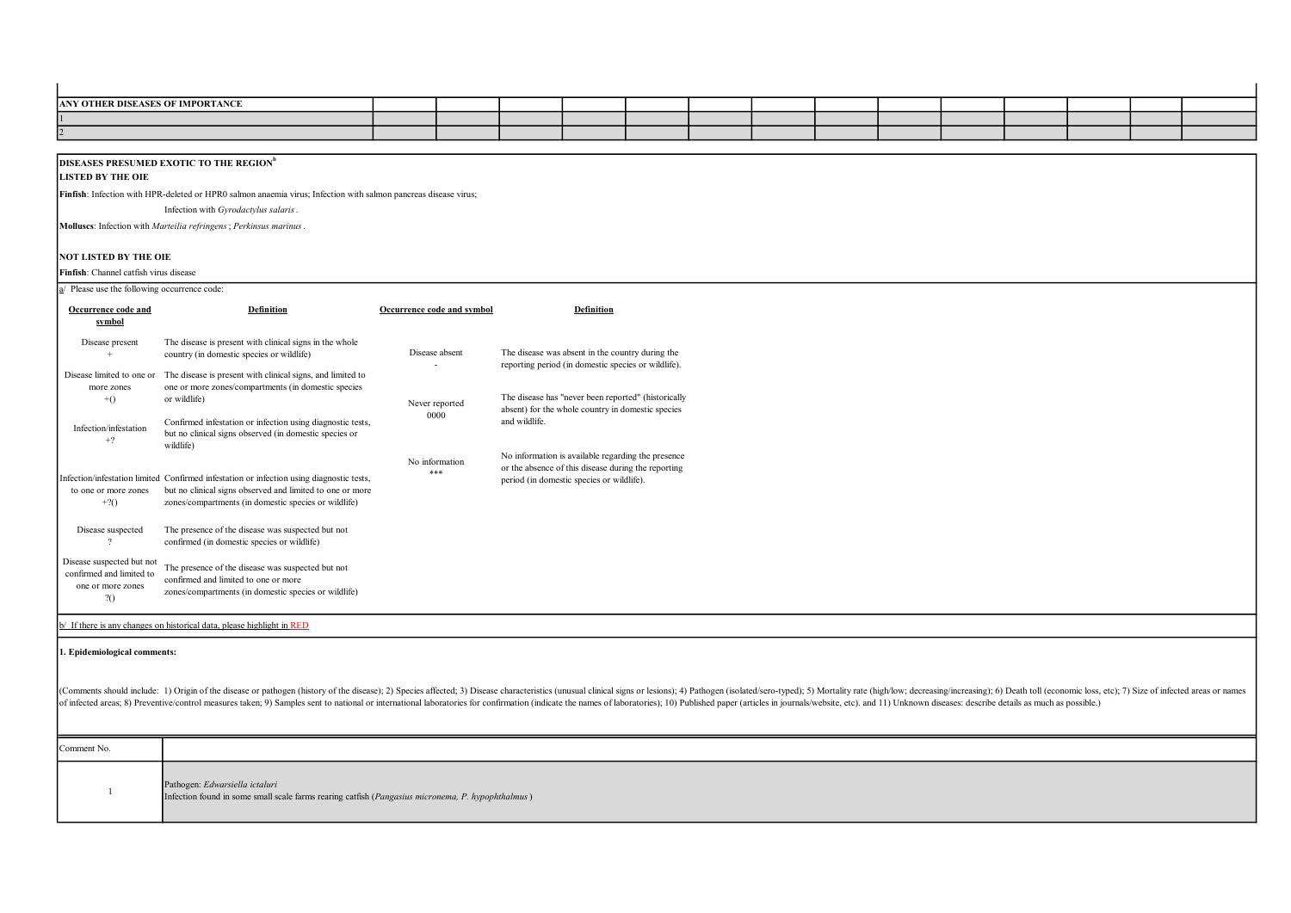| ANY OTHER DISEASES OF IMPORTANCE                          |                                                                                                                                                                                                                                                                                                                                                                                                                                                                 |                            |                                                                                                  |  |  |  |  |  |  |  |  |
|-----------------------------------------------------------|-----------------------------------------------------------------------------------------------------------------------------------------------------------------------------------------------------------------------------------------------------------------------------------------------------------------------------------------------------------------------------------------------------------------------------------------------------------------|----------------------------|--------------------------------------------------------------------------------------------------|--|--|--|--|--|--|--|--|
|                                                           |                                                                                                                                                                                                                                                                                                                                                                                                                                                                 |                            |                                                                                                  |  |  |  |  |  |  |  |  |
|                                                           |                                                                                                                                                                                                                                                                                                                                                                                                                                                                 |                            |                                                                                                  |  |  |  |  |  |  |  |  |
|                                                           |                                                                                                                                                                                                                                                                                                                                                                                                                                                                 |                            |                                                                                                  |  |  |  |  |  |  |  |  |
|                                                           | <b>DISEASES PRESUMED EXOTIC TO THE REGION</b> <sup>b</sup>                                                                                                                                                                                                                                                                                                                                                                                                      |                            |                                                                                                  |  |  |  |  |  |  |  |  |
| <b>LISTED BY THE OIE</b>                                  |                                                                                                                                                                                                                                                                                                                                                                                                                                                                 |                            |                                                                                                  |  |  |  |  |  |  |  |  |
|                                                           |                                                                                                                                                                                                                                                                                                                                                                                                                                                                 |                            |                                                                                                  |  |  |  |  |  |  |  |  |
|                                                           | Finfish: Infection with HPR-deleted or HPR0 salmon anaemia virus; Infection with salmon pancreas disease virus;                                                                                                                                                                                                                                                                                                                                                 |                            |                                                                                                  |  |  |  |  |  |  |  |  |
|                                                           | Infection with Gyrodactylus salaris.                                                                                                                                                                                                                                                                                                                                                                                                                            |                            |                                                                                                  |  |  |  |  |  |  |  |  |
|                                                           | Molluses: Infection with Marteilia refringens; Perkinsus marinus.                                                                                                                                                                                                                                                                                                                                                                                               |                            |                                                                                                  |  |  |  |  |  |  |  |  |
|                                                           |                                                                                                                                                                                                                                                                                                                                                                                                                                                                 |                            |                                                                                                  |  |  |  |  |  |  |  |  |
| <b>NOT LISTED BY THE OIE</b>                              |                                                                                                                                                                                                                                                                                                                                                                                                                                                                 |                            |                                                                                                  |  |  |  |  |  |  |  |  |
| Finfish: Channel catfish virus disease                    |                                                                                                                                                                                                                                                                                                                                                                                                                                                                 |                            |                                                                                                  |  |  |  |  |  |  |  |  |
| $\underline{a}$ Please use the following occurrence code: |                                                                                                                                                                                                                                                                                                                                                                                                                                                                 |                            |                                                                                                  |  |  |  |  |  |  |  |  |
|                                                           |                                                                                                                                                                                                                                                                                                                                                                                                                                                                 |                            |                                                                                                  |  |  |  |  |  |  |  |  |
| Occurrence code and                                       | <b>Definition</b>                                                                                                                                                                                                                                                                                                                                                                                                                                               | Occurrence code and symbol | <b>Definition</b>                                                                                |  |  |  |  |  |  |  |  |
| symbol                                                    |                                                                                                                                                                                                                                                                                                                                                                                                                                                                 |                            |                                                                                                  |  |  |  |  |  |  |  |  |
| Disease present                                           | The disease is present with clinical signs in the whole                                                                                                                                                                                                                                                                                                                                                                                                         |                            |                                                                                                  |  |  |  |  |  |  |  |  |
|                                                           | country (in domestic species or wildlife)                                                                                                                                                                                                                                                                                                                                                                                                                       | Disease absent             | The disease was absent in the country during the                                                 |  |  |  |  |  |  |  |  |
|                                                           |                                                                                                                                                                                                                                                                                                                                                                                                                                                                 |                            | reporting period (in domestic species or wildlife).                                              |  |  |  |  |  |  |  |  |
| Disease limited to one or                                 | The disease is present with clinical signs, and limited to                                                                                                                                                                                                                                                                                                                                                                                                      |                            |                                                                                                  |  |  |  |  |  |  |  |  |
| more zones<br>$+()$                                       | one or more zones/compartments (in domestic species<br>or wildlife)                                                                                                                                                                                                                                                                                                                                                                                             |                            | The disease has "never been reported" (historically                                              |  |  |  |  |  |  |  |  |
|                                                           |                                                                                                                                                                                                                                                                                                                                                                                                                                                                 | Never reported             | absent) for the whole country in domestic species                                                |  |  |  |  |  |  |  |  |
|                                                           | Confirmed infestation or infection using diagnostic tests,                                                                                                                                                                                                                                                                                                                                                                                                      | 0000                       | and wildlife.                                                                                    |  |  |  |  |  |  |  |  |
| Infection/infestation                                     | but no clinical signs observed (in domestic species or                                                                                                                                                                                                                                                                                                                                                                                                          |                            |                                                                                                  |  |  |  |  |  |  |  |  |
| $+?$                                                      | wildlife)                                                                                                                                                                                                                                                                                                                                                                                                                                                       |                            |                                                                                                  |  |  |  |  |  |  |  |  |
|                                                           |                                                                                                                                                                                                                                                                                                                                                                                                                                                                 | No information             | No information is available regarding the presence                                               |  |  |  |  |  |  |  |  |
|                                                           | Infection/infestation limited Confirmed infestation or infection using diagnostic tests,                                                                                                                                                                                                                                                                                                                                                                        | ***                        | or the absence of this disease during the reporting<br>period (in domestic species or wildlife). |  |  |  |  |  |  |  |  |
| to one or more zones                                      | but no clinical signs observed and limited to one or more                                                                                                                                                                                                                                                                                                                                                                                                       |                            |                                                                                                  |  |  |  |  |  |  |  |  |
| $+2()$                                                    | zones/compartments (in domestic species or wildlife)                                                                                                                                                                                                                                                                                                                                                                                                            |                            |                                                                                                  |  |  |  |  |  |  |  |  |
|                                                           |                                                                                                                                                                                                                                                                                                                                                                                                                                                                 |                            |                                                                                                  |  |  |  |  |  |  |  |  |
| Disease suspected                                         | The presence of the disease was suspected but not                                                                                                                                                                                                                                                                                                                                                                                                               |                            |                                                                                                  |  |  |  |  |  |  |  |  |
| $\cdot$                                                   | confirmed (in domestic species or wildlife)                                                                                                                                                                                                                                                                                                                                                                                                                     |                            |                                                                                                  |  |  |  |  |  |  |  |  |
|                                                           |                                                                                                                                                                                                                                                                                                                                                                                                                                                                 |                            |                                                                                                  |  |  |  |  |  |  |  |  |
| Disease suspected but not<br>confirmed and limited to     | The presence of the disease was suspected but not                                                                                                                                                                                                                                                                                                                                                                                                               |                            |                                                                                                  |  |  |  |  |  |  |  |  |
| one or more zones                                         | confirmed and limited to one or more                                                                                                                                                                                                                                                                                                                                                                                                                            |                            |                                                                                                  |  |  |  |  |  |  |  |  |
| 20                                                        | zones/compartments (in domestic species or wildlife)                                                                                                                                                                                                                                                                                                                                                                                                            |                            |                                                                                                  |  |  |  |  |  |  |  |  |
|                                                           |                                                                                                                                                                                                                                                                                                                                                                                                                                                                 |                            |                                                                                                  |  |  |  |  |  |  |  |  |
|                                                           | o/ If there is any changes on historical data, please highlight in RED                                                                                                                                                                                                                                                                                                                                                                                          |                            |                                                                                                  |  |  |  |  |  |  |  |  |
|                                                           |                                                                                                                                                                                                                                                                                                                                                                                                                                                                 |                            |                                                                                                  |  |  |  |  |  |  |  |  |
| 1. Epidemiological comments:                              |                                                                                                                                                                                                                                                                                                                                                                                                                                                                 |                            |                                                                                                  |  |  |  |  |  |  |  |  |
|                                                           |                                                                                                                                                                                                                                                                                                                                                                                                                                                                 |                            |                                                                                                  |  |  |  |  |  |  |  |  |
|                                                           |                                                                                                                                                                                                                                                                                                                                                                                                                                                                 |                            |                                                                                                  |  |  |  |  |  |  |  |  |
|                                                           | (Comments should include: 1) Origin of the disease or pathogen (history of the disease); 2) Species affected; 3) Disease characteristics (unusual clinical signs or lesions); 4) Pathogen (isolated/sero-typed); 5) Mortality<br>of infected areas; 8) Preventive/control measures taken; 9) Samples sent to national or international laboratories for confirmation (indicate the names of laboratories); 10) Published paper (articles in journals/website, e |                            |                                                                                                  |  |  |  |  |  |  |  |  |
|                                                           |                                                                                                                                                                                                                                                                                                                                                                                                                                                                 |                            |                                                                                                  |  |  |  |  |  |  |  |  |
|                                                           |                                                                                                                                                                                                                                                                                                                                                                                                                                                                 |                            |                                                                                                  |  |  |  |  |  |  |  |  |
|                                                           |                                                                                                                                                                                                                                                                                                                                                                                                                                                                 |                            |                                                                                                  |  |  |  |  |  |  |  |  |
| Comment No.                                               |                                                                                                                                                                                                                                                                                                                                                                                                                                                                 |                            |                                                                                                  |  |  |  |  |  |  |  |  |
|                                                           |                                                                                                                                                                                                                                                                                                                                                                                                                                                                 |                            |                                                                                                  |  |  |  |  |  |  |  |  |
| $\mathbf{1}$                                              | Pathogen: Edwarsiella ictaluri                                                                                                                                                                                                                                                                                                                                                                                                                                  |                            |                                                                                                  |  |  |  |  |  |  |  |  |
|                                                           | Infection found in some small scale farms rearing catfish (Pangasius micronema, P. hypophthalmus)                                                                                                                                                                                                                                                                                                                                                               |                            |                                                                                                  |  |  |  |  |  |  |  |  |
|                                                           |                                                                                                                                                                                                                                                                                                                                                                                                                                                                 |                            |                                                                                                  |  |  |  |  |  |  |  |  |
|                                                           |                                                                                                                                                                                                                                                                                                                                                                                                                                                                 |                            |                                                                                                  |  |  |  |  |  |  |  |  |